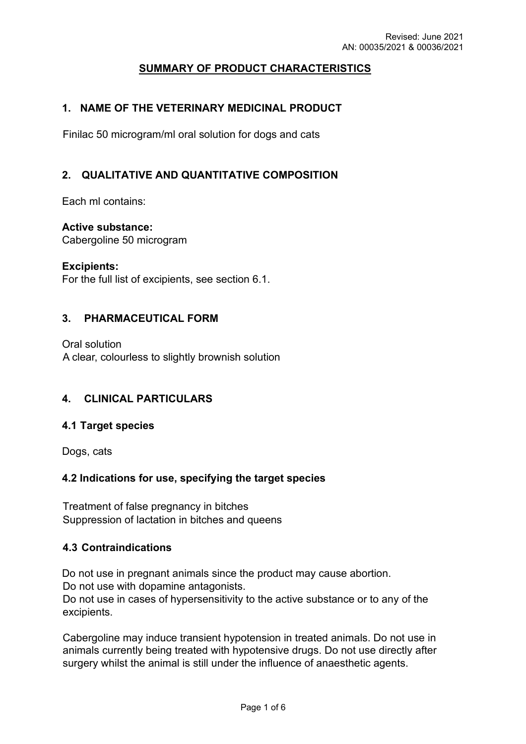# **SUMMARY OF PRODUCT CHARACTERISTICS**

### **1. NAME OF THE VETERINARY MEDICINAL PRODUCT**

Finilac 50 microgram/ml oral solution for dogs and cats

### **2. QUALITATIVE AND QUANTITATIVE COMPOSITION**

Each ml contains:

**Active substance:** 

Cabergoline 50 microgram

#### **Excipients:**

For the full list of excipients, see section 6.1.

### **3. PHARMACEUTICAL FORM**

Oral solution A clear, colourless to slightly brownish solution

### **4. CLINICAL PARTICULARS**

### **4.1 Target species**

Dogs, cats

### **4.2 Indications for use, specifying the target species**

Treatment of false pregnancy in bitches Suppression of lactation in bitches and queens

### **4.3 Contraindications**

Do not use in pregnant animals since the product may cause abortion. Do not use with dopamine antagonists. Do not use in cases of hypersensitivity to the active substance or to any of the excipients.

Cabergoline may induce transient hypotension in treated animals. Do not use in animals currently being treated with hypotensive drugs. Do not use directly after surgery whilst the animal is still under the influence of anaesthetic agents.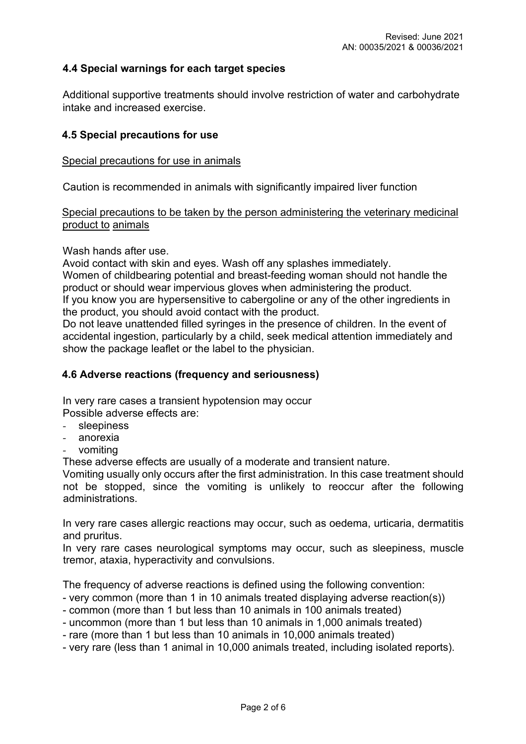### **4.4 Special warnings for each target species**

Additional supportive treatments should involve restriction of water and carbohydrate intake and increased exercise.

#### **4.5 Special precautions for use**

#### Special precautions for use in animals

Caution is recommended in animals with significantly impaired liver function

### Special precautions to be taken by the person administering the veterinary medicinal product to animals

Wash hands after use.

Avoid contact with skin and eyes. Wash off any splashes immediately.

Women of childbearing potential and breast-feeding woman should not handle the product or should wear impervious gloves when administering the product.

If you know you are hypersensitive to cabergoline or any of the other ingredients in the product, you should avoid contact with the product.

Do not leave unattended filled syringes in the presence of children. In the event of accidental ingestion, particularly by a child, seek medical attention immediately and show the package leaflet or the label to the physician.

### **4.6 Adverse reactions (frequency and seriousness)**

In very rare cases a transient hypotension may occur

Possible adverse effects are:

- *-* sleepiness
- *-* anorexia
- *-* vomiting

These adverse effects are usually of a moderate and transient nature.

Vomiting usually only occurs after the first administration. In this case treatment should not be stopped, since the vomiting is unlikely to reoccur after the following administrations.

In very rare cases allergic reactions may occur, such as oedema, urticaria, dermatitis and pruritus.

In very rare cases neurological symptoms may occur, such as sleepiness, muscle tremor, ataxia, hyperactivity and convulsions.

The frequency of adverse reactions is defined using the following convention:

- very common (more than 1 in 10 animals treated displaying adverse reaction(s))
- common (more than 1 but less than 10 animals in 100 animals treated)
- uncommon (more than 1 but less than 10 animals in 1,000 animals treated)
- rare (more than 1 but less than 10 animals in 10,000 animals treated)
- very rare (less than 1 animal in 10,000 animals treated, including isolated reports).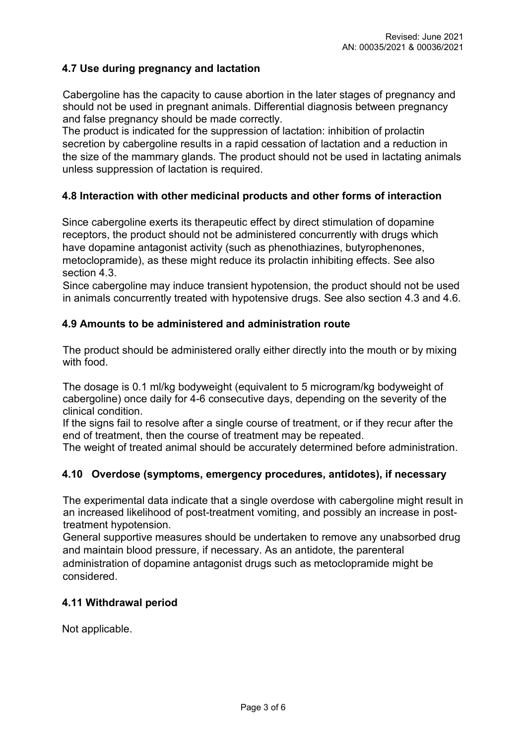### **4.7 Use during pregnancy and lactation**

Cabergoline has the capacity to cause abortion in the later stages of pregnancy and should not be used in pregnant animals. Differential diagnosis between pregnancy and false pregnancy should be made correctly.

The product is indicated for the suppression of lactation: inhibition of prolactin secretion by cabergoline results in a rapid cessation of lactation and a reduction in the size of the mammary glands. The product should not be used in lactating animals unless suppression of lactation is required.

### **4.8 Interaction with other medicinal products and other forms of interaction**

Since cabergoline exerts its therapeutic effect by direct stimulation of dopamine receptors, the product should not be administered concurrently with drugs which have dopamine antagonist activity (such as phenothiazines, butyrophenones, metoclopramide), as these might reduce its prolactin inhibiting effects. See also section 4.3.

Since cabergoline may induce transient hypotension, the product should not be used in animals concurrently treated with hypotensive drugs. See also section 4.3 and 4.6.

### **4.9 Amounts to be administered and administration route**

The product should be administered orally either directly into the mouth or by mixing with food.

The dosage is 0.1 ml/kg bodyweight (equivalent to 5 microgram/kg bodyweight of cabergoline) once daily for 4-6 consecutive days, depending on the severity of the clinical condition.

If the signs fail to resolve after a single course of treatment, or if they recur after the end of treatment, then the course of treatment may be repeated.

The weight of treated animal should be accurately determined before administration.

### **4.10 Overdose (symptoms, emergency procedures, antidotes), if necessary**

The experimental data indicate that a single overdose with cabergoline might result in an increased likelihood of post-treatment vomiting, and possibly an increase in posttreatment hypotension.

General supportive measures should be undertaken to remove any unabsorbed drug and maintain blood pressure, if necessary. As an antidote, the parenteral administration of dopamine antagonist drugs such as metoclopramide might be considered.

### **4.11 Withdrawal period**

Not applicable.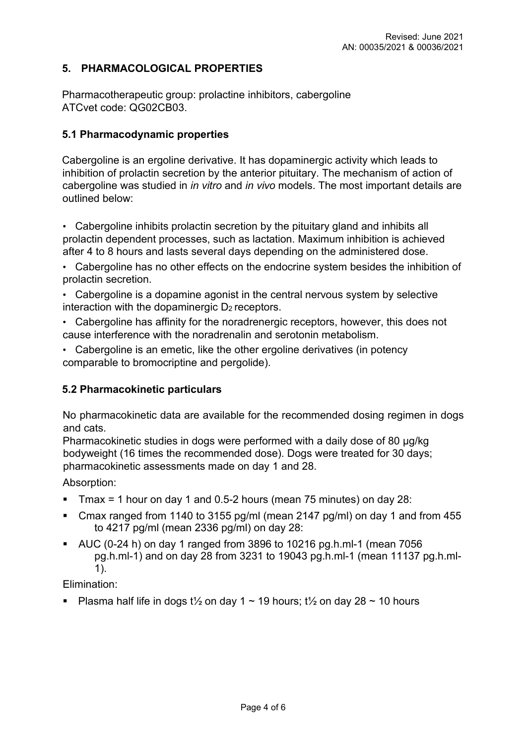## **5. PHARMACOLOGICAL PROPERTIES**

Pharmacotherapeutic group: prolactine inhibitors, cabergoline ATCvet code: QG02CB03.

### **5.1 Pharmacodynamic properties**

Cabergoline is an ergoline derivative. It has dopaminergic activity which leads to inhibition of prolactin secretion by the anterior pituitary. The mechanism of action of cabergoline was studied in *in vitro* and *in vivo* models. The most important details are outlined below:

• Cabergoline inhibits prolactin secretion by the pituitary gland and inhibits all prolactin dependent processes, such as lactation. Maximum inhibition is achieved after 4 to 8 hours and lasts several days depending on the administered dose.

• Cabergoline has no other effects on the endocrine system besides the inhibition of prolactin secretion.

- Cabergoline is a dopamine agonist in the central nervous system by selective interaction with the dopaminergic  $D_2$  receptors.
- Cabergoline has affinity for the noradrenergic receptors, however, this does not cause interference with the noradrenalin and serotonin metabolism.
- Cabergoline is an emetic, like the other ergoline derivatives (in potency comparable to bromocriptine and pergolide).

### **5.2 Pharmacokinetic particulars**

No pharmacokinetic data are available for the recommended dosing regimen in dogs and cats.

Pharmacokinetic studies in dogs were performed with a daily dose of 80 µg/kg bodyweight (16 times the recommended dose). Dogs were treated for 30 days; pharmacokinetic assessments made on day 1 and 28.

Absorption:

- Tmax = 1 hour on day 1 and 0.5-2 hours (mean 75 minutes) on day  $28$ :
- Cmax ranged from 1140 to 3155 pg/ml (mean 2147 pg/ml) on day 1 and from 455 to 4217 pg/ml (mean 2336 pg/ml) on day 28:
- $\blacksquare$  AUC (0-24 h) on day 1 ranged from 3896 to 10216 pg.h.ml-1 (mean 7056 pg.h.ml-1) and on day 28 from 3231 to 19043 pg.h.ml-1 (mean 11137 pg.h.ml-1).

Elimination:

Plasma half life in dogs t<sup>1/2</sup> on day 1  $\sim$  19 hours; t<sup>1</sup>/<sub>2</sub> on day 28  $\sim$  10 hours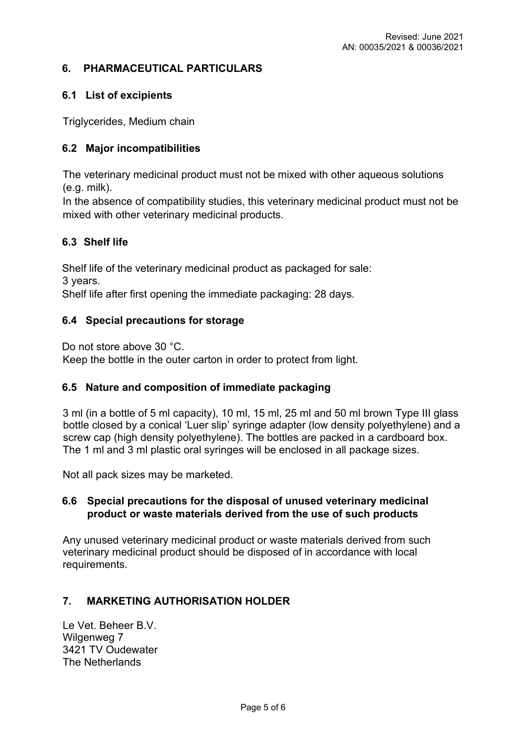## **6. PHARMACEUTICAL PARTICULARS**

### **6.1 List of excipients**

Triglycerides, Medium chain

## **6.2 Major incompatibilities**

The veterinary medicinal product must not be mixed with other aqueous solutions (e.g. milk).

In the absence of compatibility studies, this veterinary medicinal product must not be mixed with other veterinary medicinal products.

### **6.3 Shelf life**

Shelf life of the veterinary medicinal product as packaged for sale: 3 years.

Shelf life after first opening the immediate packaging: 28 days.

### **6.4 Special precautions for storage**

Do not store above 30 °C.

Keep the bottle in the outer carton in order to protect from light.

### **6.5 Nature and composition of immediate packaging**

3 ml (in a bottle of 5 ml capacity), 10 ml, 15 ml, 25 ml and 50 ml brown Type III glass bottle closed by a conical 'Luer slip' syringe adapter (low density polyethylene) and a screw cap (high density polyethylene). The bottles are packed in a cardboard box. The 1 ml and 3 ml plastic oral syringes will be enclosed in all package sizes.

Not all pack sizes may be marketed.

### **6.6 Special precautions for the disposal of unused veterinary medicinal product or waste materials derived from the use of such products**

Any unused veterinary medicinal product or waste materials derived from such veterinary medicinal product should be disposed of in accordance with local requirements.

### **7. MARKETING AUTHORISATION HOLDER**

Le Vet. Beheer B.V. Wilgenweg 7 3421 TV Oudewater The Netherlands